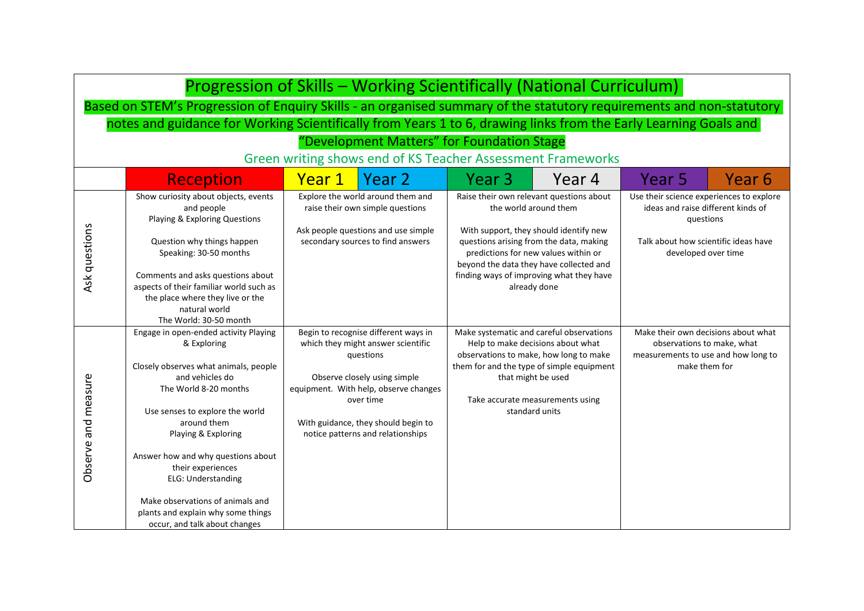| Progression of Skills - Working Scientifically (National Curriculum)                                                 |                                                                                                                                                                                                                                                                 |                                                                                                                                                   |                                                                                                                                                                                                                                                                                                       |        |                                                                                                                                                            |        |
|----------------------------------------------------------------------------------------------------------------------|-----------------------------------------------------------------------------------------------------------------------------------------------------------------------------------------------------------------------------------------------------------------|---------------------------------------------------------------------------------------------------------------------------------------------------|-------------------------------------------------------------------------------------------------------------------------------------------------------------------------------------------------------------------------------------------------------------------------------------------------------|--------|------------------------------------------------------------------------------------------------------------------------------------------------------------|--------|
| Based on STEM's Progression of Enquiry Skills - an organised summary of the statutory requirements and non-statutory |                                                                                                                                                                                                                                                                 |                                                                                                                                                   |                                                                                                                                                                                                                                                                                                       |        |                                                                                                                                                            |        |
| notes and guidance for Working Scientifically from Years 1 to 6, drawing links from the Early Learning Goals and     |                                                                                                                                                                                                                                                                 |                                                                                                                                                   |                                                                                                                                                                                                                                                                                                       |        |                                                                                                                                                            |        |
|                                                                                                                      |                                                                                                                                                                                                                                                                 | "Development Matters" for Foundation Stage                                                                                                        |                                                                                                                                                                                                                                                                                                       |        |                                                                                                                                                            |        |
|                                                                                                                      | Green writing shows end of KS Teacher Assessment Frameworks                                                                                                                                                                                                     |                                                                                                                                                   |                                                                                                                                                                                                                                                                                                       |        |                                                                                                                                                            |        |
|                                                                                                                      | <b>Reception</b>                                                                                                                                                                                                                                                | Year 2<br>Year 1                                                                                                                                  | Year 3                                                                                                                                                                                                                                                                                                | Year 4 | Year 5                                                                                                                                                     | Year 6 |
| Ask questions                                                                                                        | Show curiosity about objects, events<br>and people<br>Playing & Exploring Questions<br>Question why things happen<br>Speaking: 30-50 months<br>Comments and asks questions about<br>aspects of their familiar world such as<br>the place where they live or the | Explore the world around them and<br>raise their own simple questions<br>Ask people questions and use simple<br>secondary sources to find answers | Raise their own relevant questions about<br>the world around them<br>With support, they should identify new<br>questions arising from the data, making<br>predictions for new values within or<br>beyond the data they have collected and<br>finding ways of improving what they have<br>already done |        | Use their science experiences to explore<br>ideas and raise different kinds of<br>questions<br>Talk about how scientific ideas have<br>developed over time |        |
|                                                                                                                      | natural world<br>The World: 30-50 month                                                                                                                                                                                                                         |                                                                                                                                                   |                                                                                                                                                                                                                                                                                                       |        |                                                                                                                                                            |        |
|                                                                                                                      | Engage in open-ended activity Playing<br>& Exploring                                                                                                                                                                                                            | Begin to recognise different ways in<br>which they might answer scientific<br>questions                                                           | Make systematic and careful observations<br>Help to make decisions about what<br>observations to make, how long to make                                                                                                                                                                               |        | Make their own decisions about what<br>observations to make, what<br>measurements to use and how long to                                                   |        |
| Observe and measure                                                                                                  | Closely observes what animals, people<br>and vehicles do<br>The World 8-20 months                                                                                                                                                                               | Observe closely using simple<br>equipment. With help, observe changes<br>over time                                                                | them for and the type of simple equipment<br>that might be used<br>Take accurate measurements using                                                                                                                                                                                                   |        | make them for                                                                                                                                              |        |
|                                                                                                                      | Use senses to explore the world<br>around them<br>Playing & Exploring                                                                                                                                                                                           | With guidance, they should begin to<br>notice patterns and relationships                                                                          | standard units                                                                                                                                                                                                                                                                                        |        |                                                                                                                                                            |        |
|                                                                                                                      | Answer how and why questions about<br>their experiences<br>ELG: Understanding                                                                                                                                                                                   |                                                                                                                                                   |                                                                                                                                                                                                                                                                                                       |        |                                                                                                                                                            |        |
|                                                                                                                      | Make observations of animals and<br>plants and explain why some things<br>occur, and talk about changes                                                                                                                                                         |                                                                                                                                                   |                                                                                                                                                                                                                                                                                                       |        |                                                                                                                                                            |        |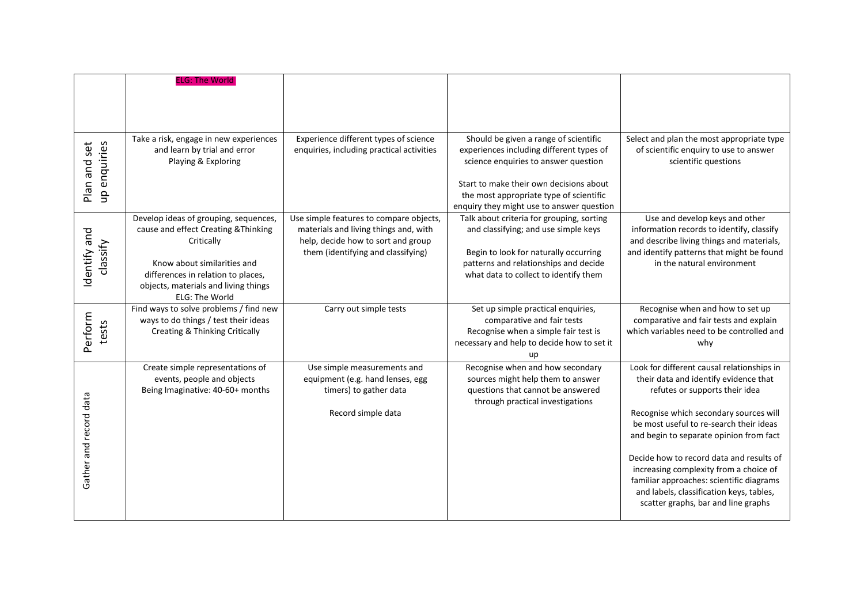|                              | <b>ELG: The World</b>                                                                                                                                                                                                      |                                                                                                                                                              |                                                                                                                                                                                                                                                              |                                                                                                                                                                                                                                                                                                                                                                                                                                                                            |
|------------------------------|----------------------------------------------------------------------------------------------------------------------------------------------------------------------------------------------------------------------------|--------------------------------------------------------------------------------------------------------------------------------------------------------------|--------------------------------------------------------------------------------------------------------------------------------------------------------------------------------------------------------------------------------------------------------------|----------------------------------------------------------------------------------------------------------------------------------------------------------------------------------------------------------------------------------------------------------------------------------------------------------------------------------------------------------------------------------------------------------------------------------------------------------------------------|
| up enquiries<br>Plan and set | Take a risk, engage in new experiences<br>and learn by trial and error<br>Playing & Exploring                                                                                                                              | Experience different types of science<br>enquiries, including practical activities                                                                           | Should be given a range of scientific<br>experiences including different types of<br>science enquiries to answer question<br>Start to make their own decisions about<br>the most appropriate type of scientific<br>enquiry they might use to answer question | Select and plan the most appropriate type<br>of scientific enquiry to use to answer<br>scientific questions                                                                                                                                                                                                                                                                                                                                                                |
| Identify and<br>classify     | Develop ideas of grouping, sequences,<br>cause and effect Creating & Thinking<br>Critically<br>Know about similarities and<br>differences in relation to places,<br>objects, materials and living things<br>ELG: The World | Use simple features to compare objects,<br>materials and living things and, with<br>help, decide how to sort and group<br>them (identifying and classifying) | Talk about criteria for grouping, sorting<br>and classifying; and use simple keys<br>Begin to look for naturally occurring<br>patterns and relationships and decide<br>what data to collect to identify them                                                 | Use and develop keys and other<br>information records to identify, classify<br>and describe living things and materials,<br>and identify patterns that might be found<br>in the natural environment                                                                                                                                                                                                                                                                        |
| Perform<br>tests             | Find ways to solve problems / find new<br>ways to do things / test their ideas<br><b>Creating &amp; Thinking Critically</b>                                                                                                | Carry out simple tests                                                                                                                                       | Set up simple practical enquiries,<br>comparative and fair tests<br>Recognise when a simple fair test is<br>necessary and help to decide how to set it<br>up                                                                                                 | Recognise when and how to set up<br>comparative and fair tests and explain<br>which variables need to be controlled and<br>why                                                                                                                                                                                                                                                                                                                                             |
| Gather and record data       | Create simple representations of<br>events, people and objects<br>Being Imaginative: 40-60+ months                                                                                                                         | Use simple measurements and<br>equipment (e.g. hand lenses, egg<br>timers) to gather data<br>Record simple data                                              | Recognise when and how secondary<br>sources might help them to answer<br>questions that cannot be answered<br>through practical investigations                                                                                                               | Look for different causal relationships in<br>their data and identify evidence that<br>refutes or supports their idea<br>Recognise which secondary sources will<br>be most useful to re-search their ideas<br>and begin to separate opinion from fact<br>Decide how to record data and results of<br>increasing complexity from a choice of<br>familiar approaches: scientific diagrams<br>and labels, classification keys, tables,<br>scatter graphs, bar and line graphs |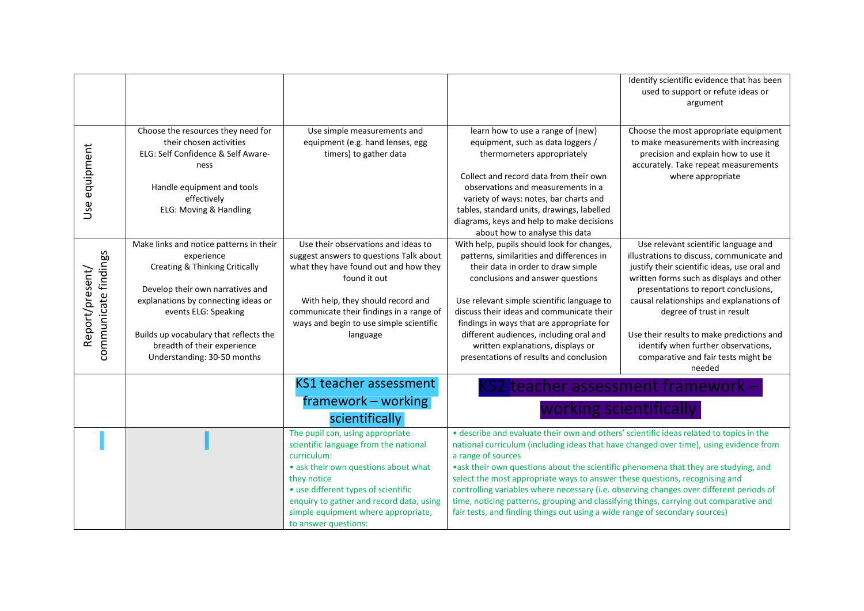|                                         |                                                                                                                                                                                                                                                                                                    |                                                                                                                                                                                                                                                                                                   |                                                                                                                                                                                                                                                                                                                                                                                                                                                                                                                                                                                                                                                   | Identify scientific evidence that has been<br>used to support or refute ideas or                                                                                                                                                                                                                                                                                                                                                    |
|-----------------------------------------|----------------------------------------------------------------------------------------------------------------------------------------------------------------------------------------------------------------------------------------------------------------------------------------------------|---------------------------------------------------------------------------------------------------------------------------------------------------------------------------------------------------------------------------------------------------------------------------------------------------|---------------------------------------------------------------------------------------------------------------------------------------------------------------------------------------------------------------------------------------------------------------------------------------------------------------------------------------------------------------------------------------------------------------------------------------------------------------------------------------------------------------------------------------------------------------------------------------------------------------------------------------------------|-------------------------------------------------------------------------------------------------------------------------------------------------------------------------------------------------------------------------------------------------------------------------------------------------------------------------------------------------------------------------------------------------------------------------------------|
|                                         |                                                                                                                                                                                                                                                                                                    |                                                                                                                                                                                                                                                                                                   |                                                                                                                                                                                                                                                                                                                                                                                                                                                                                                                                                                                                                                                   | argument                                                                                                                                                                                                                                                                                                                                                                                                                            |
|                                         |                                                                                                                                                                                                                                                                                                    |                                                                                                                                                                                                                                                                                                   |                                                                                                                                                                                                                                                                                                                                                                                                                                                                                                                                                                                                                                                   |                                                                                                                                                                                                                                                                                                                                                                                                                                     |
| Use equipment                           | Choose the resources they need for<br>their chosen activities<br>ELG: Self Confidence & Self Aware-<br>ness<br>Handle equipment and tools<br>effectively<br>ELG: Moving & Handling                                                                                                                 | Use simple measurements and<br>equipment (e.g. hand lenses, egg<br>timers) to gather data                                                                                                                                                                                                         | learn how to use a range of (new)<br>equipment, such as data loggers /<br>thermometers appropriately<br>Collect and record data from their own<br>observations and measurements in a<br>variety of ways: notes, bar charts and<br>tables, standard units, drawings, labelled<br>diagrams, keys and help to make decisions<br>about how to analyse this data                                                                                                                                                                                                                                                                                       | Choose the most appropriate equipment<br>to make measurements with increasing<br>precision and explain how to use it<br>accurately. Take repeat measurements<br>where appropriate                                                                                                                                                                                                                                                   |
| communicate findings<br>Report/present/ | Make links and notice patterns in their<br>experience<br>Creating & Thinking Critically<br>Develop their own narratives and<br>explanations by connecting ideas or<br>events ELG: Speaking<br>Builds up vocabulary that reflects the<br>breadth of their experience<br>Understanding: 30-50 months | Use their observations and ideas to<br>suggest answers to questions Talk about<br>what they have found out and how they<br>found it out<br>With help, they should record and<br>communicate their findings in a range of<br>ways and begin to use simple scientific<br>language                   | With help, pupils should look for changes,<br>patterns, similarities and differences in<br>their data in order to draw simple<br>conclusions and answer questions<br>Use relevant simple scientific language to<br>discuss their ideas and communicate their<br>findings in ways that are appropriate for<br>different audiences, including oral and<br>written explanations, displays or<br>presentations of results and conclusion                                                                                                                                                                                                              | Use relevant scientific language and<br>illustrations to discuss, communicate and<br>justify their scientific ideas, use oral and<br>written forms such as displays and other<br>presentations to report conclusions,<br>causal relationships and explanations of<br>degree of trust in result<br>Use their results to make predictions and<br>identify when further observations,<br>comparative and fair tests might be<br>needed |
|                                         |                                                                                                                                                                                                                                                                                                    | KS1 teacher assessment<br>framework - working<br>scientifically                                                                                                                                                                                                                                   |                                                                                                                                                                                                                                                                                                                                                                                                                                                                                                                                                                                                                                                   | <s2 -<br="" assessment="" framework="" teacher="">working scientifically</s2>                                                                                                                                                                                                                                                                                                                                                       |
|                                         |                                                                                                                                                                                                                                                                                                    | The pupil can, using appropriate<br>scientific language from the national<br>curriculum:<br>• ask their own questions about what<br>they notice<br>• use different types of scientific<br>enquiry to gather and record data, using<br>simple equipment where appropriate,<br>to answer questions: | • describe and evaluate their own and others' scientific ideas related to topics in the<br>national curriculum (including ideas that have changed over time), using evidence from<br>a range of sources<br>•ask their own questions about the scientific phenomena that they are studying, and<br>select the most appropriate ways to answer these questions, recognising and<br>controlling variables where necessary (i.e. observing changes over different periods of<br>time, noticing patterns, grouping and classifying things, carrying out comparative and<br>fair tests, and finding things out using a wide range of secondary sources) |                                                                                                                                                                                                                                                                                                                                                                                                                                     |